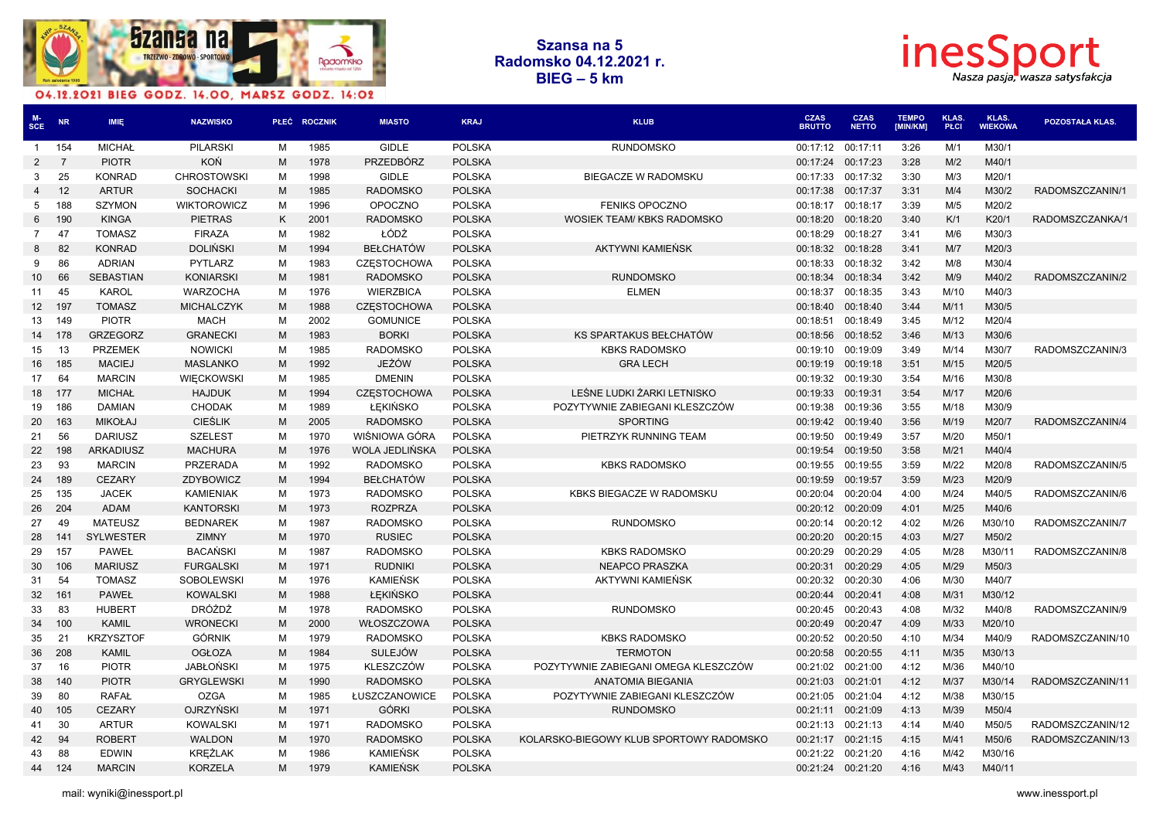



| MCE             | <b>NR</b>      | <b>IMIE</b>      | <b>NAZWISKO</b>                  |   | PŁEĆ ROCZNIK | <b>MIASTO</b>      | <b>KRAJ</b>                    | <b>KLUB</b>                             | <b>CZAS</b><br><b>BRUTTO</b> | <b>CZAS</b><br><b>NETTO</b> | <b>TEMPO</b><br><b>IMIN/KM1</b> | <b>KLAS.</b><br><b>PŁCI</b> | <b>KLAS.</b><br><b>WIEKOWA</b> | POZOSTAŁA KLAS.  |
|-----------------|----------------|------------------|----------------------------------|---|--------------|--------------------|--------------------------------|-----------------------------------------|------------------------------|-----------------------------|---------------------------------|-----------------------------|--------------------------------|------------------|
| $\mathbf{1}$    | 154            | <b>MICHAŁ</b>    | <b>PILARSKI</b>                  | м | 1985         | <b>GIDLE</b>       | <b>POLSKA</b>                  | <b>RUNDOMSKO</b>                        | 00:17:12                     | 00:17:11                    | 3:26                            | M/1                         | M30/1                          |                  |
| $\overline{2}$  | $\overline{7}$ | <b>PIOTR</b>     | KOŃ                              | M | 1978         | <b>PRZEDBÓRZ</b>   | <b>POLSKA</b>                  |                                         | 00:17:24                     | 00:17:23                    | 3:28                            | M/2                         | M40/1                          |                  |
| 3               | 25             | <b>KONRAD</b>    | <b>CHROSTOWSKI</b>               | м | 1998         | <b>GIDLE</b>       | <b>POLSKA</b>                  | BIEGACZE W RADOMSKU                     | 00:17:33                     | 00:17:32                    | 3:30                            | M/3                         | M20/1                          |                  |
| $\overline{4}$  | 12             | <b>ARTUR</b>     | <b>SOCHACKI</b>                  | M | 1985         | <b>RADOMSKO</b>    | <b>POLSKA</b>                  |                                         | 00:17:38                     | 00:17:37                    | 3:31                            | M/4                         | M30/2                          | RADOMSZCZANIN/1  |
| 5               | 188            | <b>SZYMON</b>    | <b>WIKTOROWICZ</b>               | м | 1996         | <b>OPOCZNO</b>     | <b>POLSKA</b>                  | <b>FENIKS OPOCZNO</b>                   | 00:18:17                     | 00:18:17                    | 3:39                            | M/5                         | M20/2                          |                  |
| 6               | 190            | <b>KINGA</b>     | <b>PIETRAS</b>                   | K | 2001         | <b>RADOMSKO</b>    | <b>POLSKA</b>                  | WOSIEK TEAM/KBKS RADOMSKO               | 00:18:20                     | 00:18:20                    | 3:40                            | K/1                         | K20/1                          | RADOMSZCZANKA/1  |
| 7               | 47             | <b>TOMASZ</b>    | <b>FIRAZA</b>                    | м | 1982         | ŁÓDŹ               | <b>POLSKA</b>                  |                                         | 00:18:29                     | 00:18:27                    | 3:41                            | M/6                         | M30/3                          |                  |
| 8               | 82             | <b>KONRAD</b>    | <b>DOLINSKI</b>                  | М | 1994         | <b>BEŁCHATÓW</b>   | <b>POLSKA</b>                  | <b>AKTYWNI KAMIENSK</b>                 | 00:18:32                     | 00:18:28                    | 3:41                            | M/7                         | M20/3                          |                  |
| 9               | 86             | <b>ADRIAN</b>    | PYTLARZ                          | м | 1983         | <b>CZESTOCHOWA</b> | <b>POLSKA</b>                  |                                         | 00:18:33                     | 00:18:32                    | 3:42                            | M/8                         | M30/4                          |                  |
| 10              | 66             | <b>SEBASTIAN</b> | <b>KONIARSKI</b>                 | M | 1981         | <b>RADOMSKO</b>    | <b>POLSKA</b>                  | <b>RUNDOMSKO</b>                        | 00:18:34                     | 00:18:34                    | 3:42                            | M/9                         | M40/2                          | RADOMSZCZANIN/2  |
| 11              | 45             | <b>KAROL</b>     | <b>WARZOCHA</b>                  | м | 1976         | <b>WIERZBICA</b>   | <b>POLSKA</b>                  | <b>ELMEN</b>                            | 00:18:37                     | 00:18:35                    | 3:43                            | M/10                        | M40/3                          |                  |
| 12 <sup>2</sup> | 197            | <b>TOMASZ</b>    | <b>MICHALCZYK</b>                | М | 1988         | <b>CZESTOCHOWA</b> | <b>POLSKA</b>                  |                                         | 00:18:40                     | 00:18:40                    | 3:44                            | M/11                        | M30/5                          |                  |
| 13              | 149            | <b>PIOTR</b>     | <b>MACH</b>                      | м | 2002         | <b>GOMUNICE</b>    | <b>POLSKA</b>                  |                                         | 00:18:51                     | 00:18:49                    | 3:45                            | M/12                        | M20/4                          |                  |
| 14              | 178            | <b>GRZEGORZ</b>  | <b>GRANECKI</b>                  | M | 1983         | <b>BORKI</b>       | <b>POLSKA</b>                  | KS SPARTAKUS BEŁCHATÓW                  | 00:18:56                     | 00:18:52                    | 3:46                            | M/13                        | M30/6                          |                  |
| 15              | 13             | <b>PRZEMEK</b>   | <b>NOWICKI</b>                   | м | 1985         | <b>RADOMSKO</b>    | <b>POLSKA</b>                  | <b>KBKS RADOMSKO</b>                    | 00:19:10                     | 00:19:09                    | 3:49                            | M/14                        | M30/7                          | RADOMSZCZANIN/3  |
| 16              | 185            | <b>MACIEJ</b>    | <b>MASLANKO</b>                  | M | 1992         | JEŻÓW              | <b>POLSKA</b>                  | <b>GRA LECH</b>                         | 00:19:19                     | 00:19:18                    | 3:51                            | M/15                        | M20/5                          |                  |
| 17              | 64             | <b>MARCIN</b>    | <b>WIECKOWSKI</b>                | м | 1985         | <b>DMENIN</b>      | <b>POLSKA</b>                  |                                         | 00:19:32                     | 00:19:30                    | 3:54                            | M/16                        | M30/8                          |                  |
| 18              | 177            | <b>MICHAŁ</b>    | <b>HAJDUK</b>                    | M | 1994         | <b>CZESTOCHOWA</b> | <b>POLSKA</b>                  | LEŚNE LUDKI ŻARKI LETNISKO              | 00:19:33                     | 00:19:31                    | 3:54                            | M/17                        | M20/6                          |                  |
| 19              | 186            | <b>DAMIAN</b>    | <b>CHODAK</b>                    | м | 1989         | <b>ŁEKIŃSKO</b>    | <b>POLSKA</b>                  | POZYTYWNIE ZABIEGANI KLESZCZÓW          | 00:19:38                     | 00:19:36                    | 3:55                            | M/18                        | M30/9                          |                  |
| 20              | 163            | <b>MIKOŁAJ</b>   | <b>CIESLIK</b>                   | M | 2005         | <b>RADOMSKO</b>    | <b>POLSKA</b>                  | <b>SPORTING</b>                         | 00:19:42                     | 00:19:40                    | 3:56                            | M/19                        | M20/7                          | RADOMSZCZANIN/4  |
| 21              | 56             | <b>DARIUSZ</b>   | <b>SZELEST</b>                   | м | 1970         | WIŚNIOWA GÓRA      | <b>POLSKA</b>                  | PIETRZYK RUNNING TEAM                   | 00:19:50                     | 00:19:49                    | 3:57                            | M/20                        | M50/1                          |                  |
| 22              | 198            | <b>ARKADIUSZ</b> | <b>MACHURA</b>                   | M | 1976         | WOLA JEDLIŃSKA     | <b>POLSKA</b>                  |                                         | 00:19:54                     | 00:19:50                    | 3:58                            | M/21                        | M40/4                          |                  |
| 23              | 93             | <b>MARCIN</b>    | PRZERADA                         | м | 1992         | <b>RADOMSKO</b>    | <b>POLSKA</b>                  | <b>KBKS RADOMSKO</b>                    | 00:19:55                     | 00:19:55                    | 3:59                            | M/22                        | M20/8                          | RADOMSZCZANIN/5  |
| 24              | 189            | <b>CEZARY</b>    | ZDYBOWICZ                        | M | 1994         | <b>BEŁCHATÓW</b>   | <b>POLSKA</b>                  |                                         | 00:19:59                     | 00:19:57                    | 3:59                            | M/23                        | M20/9                          |                  |
| 25              | 135            | <b>JACEK</b>     | <b>KAMIENIAK</b>                 | м | 1973         | <b>RADOMSKO</b>    | <b>POLSKA</b>                  | KBKS BIEGACZE W RADOMSKU                | 00:20:04                     | 00:20:04                    | 4:00                            | M/24                        | M40/5                          | RADOMSZCZANIN/6  |
| 26              | 204            | <b>ADAM</b>      | <b>KANTORSKI</b>                 | M | 1973         | <b>ROZPRZA</b>     | <b>POLSKA</b>                  |                                         | 00:20:12                     | 00:20:09                    | 4:01                            | M/25                        | M40/6                          |                  |
| 27              | 49             | <b>MATEUSZ</b>   | <b>BEDNAREK</b>                  | м | 1987         | <b>RADOMSKO</b>    | <b>POLSKA</b>                  | <b>RUNDOMSKO</b>                        | 00:20:14                     | 00:20:12                    | 4:02                            | M/26                        | M30/10                         | RADOMSZCZANIN/7  |
| 28              | 141            | <b>SYLWESTER</b> | <b>ZIMNY</b>                     | M | 1970         | <b>RUSIEC</b>      | <b>POLSKA</b>                  |                                         | 00:20:20                     | 00:20:15                    | 4:03                            | M/27                        | M50/2                          |                  |
| 29              | 157            | <b>PAWEŁ</b>     | <b>BACAŃSKI</b>                  | м | 1987         | <b>RADOMSKO</b>    | <b>POLSKA</b>                  | <b>KBKS RADOMSKO</b>                    | 00:20:29                     | 00:20:29                    | 4:05                            | M/28                        | M30/11                         | RADOMSZCZANIN/8  |
| 30              | 106            | <b>MARIUSZ</b>   | <b>FURGALSKI</b>                 | M | 1971         | <b>RUDNIKI</b>     | <b>POLSKA</b>                  | <b>NEAPCO PRASZKA</b>                   | 00:20:31                     | 00:20:29                    | 4:05                            | M/29                        | M50/3                          |                  |
| 31              | 54             | <b>TOMASZ</b>    | <b>SOBOLEWSKI</b>                | м | 1976         | KAMIEŃSK           | <b>POLSKA</b>                  | AKTYWNI KAMIEŃSK                        | 00:20:32                     | 00:20:30                    | 4:06                            | M/30                        | M40/7                          |                  |
| 32              | 161            | <b>PAWEŁ</b>     | <b>KOWALSKI</b>                  | M | 1988         | ŁĘKIŃSKO           | <b>POLSKA</b>                  |                                         | 00:20:44                     | 00:20:41                    | 4:08                            | M/31                        | M30/12                         |                  |
| 33              | 83             | <b>HUBERT</b>    | <b>DRÓŻDŻ</b>                    | м | 1978         | <b>RADOMSKO</b>    | <b>POLSKA</b>                  | <b>RUNDOMSKO</b>                        | 00:20:45                     | 00:20:43                    | 4:08                            | M/32                        | M40/8                          | RADOMSZCZANIN/9  |
| 34              | 100            | <b>KAMIL</b>     | <b>WRONECKI</b>                  | M | 2000         | WŁOSZCZOWA         | <b>POLSKA</b>                  |                                         | 00:20:49                     | 00:20:47                    | 4:09                            | M/33                        | M20/10                         |                  |
|                 | 21             | <b>KRZYSZTOF</b> | <b>GÓRNIK</b>                    | м | 1979         | <b>RADOMSKO</b>    | <b>POLSKA</b>                  | <b>KBKS RADOMSKO</b>                    | 00:20:52                     | 00:20:50                    | 4:10                            | M/34                        | M40/9                          | RADOMSZCZANIN/10 |
| 35<br>36        | 208            | <b>KAMIL</b>     | <b>OGŁOZA</b>                    | M | 1984         | <b>SULEJÓW</b>     | <b>POLSKA</b>                  | <b>TERMOTON</b>                         | 00:20:58                     | 00:20:55                    | 4:11                            | M/35                        | M30/13                         |                  |
|                 | 16             | <b>PIOTR</b>     | <b>JABŁOŃSKI</b>                 | м | 1975         | <b>KLESZCZÓW</b>   | <b>POLSKA</b>                  | POZYTYWNIE ZABIEGANI OMEGA KLESZCZÓW    | 00:21:02                     | 00:21:00                    | 4:12                            | M/36                        | M40/10                         |                  |
| 37              |                | <b>PIOTR</b>     |                                  |   | 1990         | <b>RADOMSKO</b>    |                                |                                         |                              |                             |                                 | M/37                        |                                | RADOMSZCZANIN/11 |
| 38              | 140<br>80      |                  | <b>GRYGLEWSKI</b><br><b>OZGA</b> | M |              |                    | <b>POLSKA</b><br><b>POLSKA</b> | <b>ANATOMIA BIEGANIA</b>                | 00:21:03                     | 00:21:01                    | 4:12<br>4:12                    | M/38                        | M30/14                         |                  |
| 39              |                | <b>RAFAŁ</b>     |                                  | м | 1985         | ŁUSZCZANOWICE      |                                | POZYTYWNIE ZABIEGANI KLESZCZÓW          | 00:21:05                     | 00:21:04                    |                                 |                             | M30/15                         |                  |
| 40              | 105            | <b>CEZARY</b>    | <b>OJRZYŃSKI</b>                 | M | 1971         | GÓRKI              | <b>POLSKA</b>                  | <b>RUNDOMSKO</b>                        | 00:21:11                     | 00:21:09                    | 4:13                            | M/39                        | M50/4                          |                  |
| 41              | 30             | <b>ARTUR</b>     | <b>KOWALSKI</b>                  | м | 1971         | <b>RADOMSKO</b>    | <b>POLSKA</b>                  |                                         | 00:21:13                     | 00:21:13                    | 4:14                            | M/40                        | M50/5                          | RADOMSZCZANIN/12 |
| 42              | 94             | <b>ROBERT</b>    | <b>WALDON</b>                    | M | 1970         | <b>RADOMSKO</b>    | <b>POLSKA</b>                  | KOLARSKO-BIEGOWY KLUB SPORTOWY RADOMSKO | 00:21:17                     | 00:21:15                    | 4:15                            | M/41                        | M50/6                          | RADOMSZCZANIN/13 |
| 43              | 88             | <b>EDWIN</b>     | KREŻLAK                          | M | 1986         | KAMIEŃSK           | <b>POLSKA</b>                  |                                         | 00:21:22                     | 00:21:20                    | 4:16                            | M/42                        | M30/16                         |                  |
| 44              | 124            | <b>MARCIN</b>    | <b>KORZELA</b>                   | M | 1979         | <b>KAMIEŃSK</b>    | <b>POLSKA</b>                  |                                         | 00:21:24                     | 00:21:20                    | 4:16                            | M/43                        | M40/11                         |                  |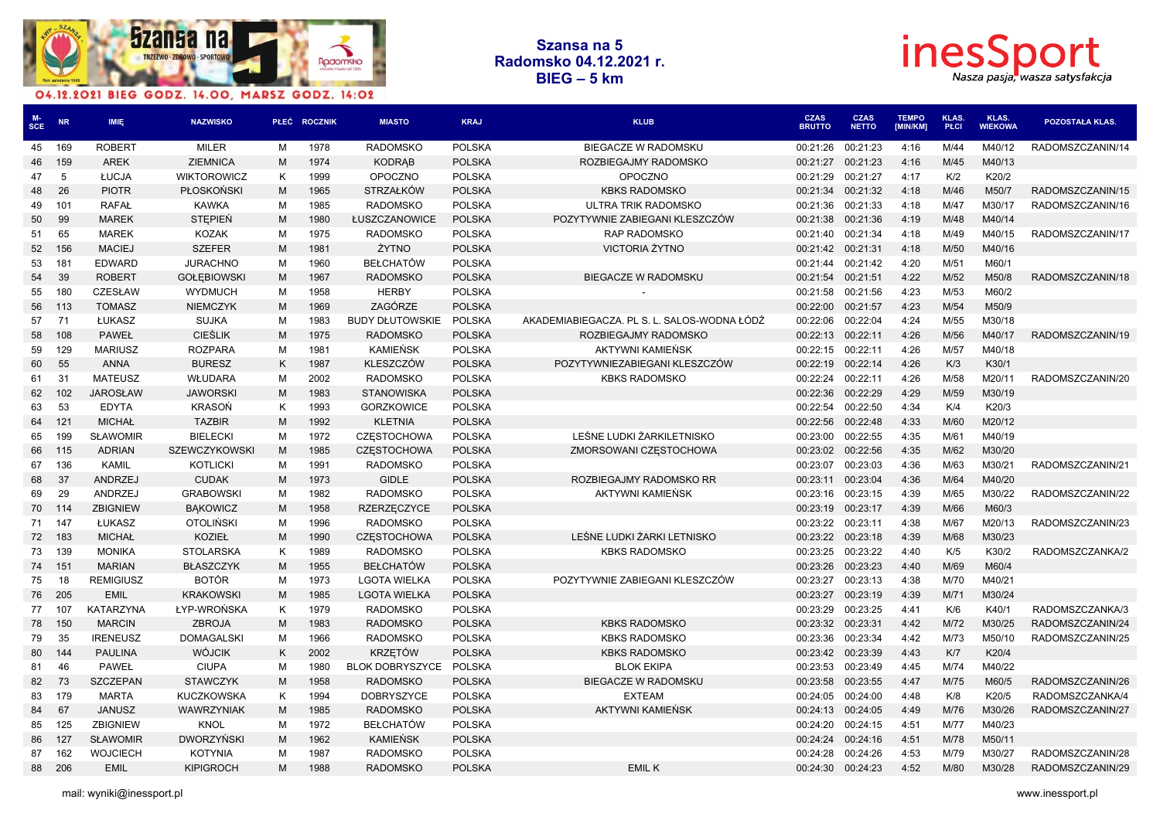



| MCE | <b>NR</b> | <b>IMIE</b>      | <b>NAZWISKO</b>    |   | PŁEĆ ROCZNIK | <b>MIASTO</b>          | <b>KRAJ</b>   | <b>KLUB</b>                                 | <b>CZAS</b><br><b>BRUTTO</b> | <b>CZAS</b><br><b>NETTO</b> | <b>TEMPO</b><br><b>IMIN/KM1</b> | <b>KLAS.</b><br>PŁCI | KLAS.<br>WIEKOWA | <b>POZOSTAŁA KLAS.</b> |
|-----|-----------|------------------|--------------------|---|--------------|------------------------|---------------|---------------------------------------------|------------------------------|-----------------------------|---------------------------------|----------------------|------------------|------------------------|
| 45  | 169       | <b>ROBERT</b>    | <b>MILER</b>       | M | 1978         | <b>RADOMSKO</b>        | <b>POLSKA</b> | <b>BIEGACZE W RADOMSKU</b>                  | 00:21:26                     | 00:21:23                    | 4:16                            | M/44                 | M40/12           | RADOMSZCZANIN/14       |
| 46  | 159       | <b>AREK</b>      | <b>ZIEMNICA</b>    | M | 1974         | <b>KODRAB</b>          | <b>POLSKA</b> | ROZBIEGAJMY RADOMSKO                        | 00:21:27                     | 00:21:23                    | 4:16                            | M/45                 | M40/13           |                        |
| 47  | 5         | ŁUCJA            | <b>WIKTOROWICZ</b> | Κ | 1999         | <b>OPOCZNO</b>         | <b>POLSKA</b> | <b>OPOCZNO</b>                              | 00:21:29                     | 00:21:27                    | 4:17                            | K/2                  | K20/2            |                        |
| 48  | 26        | <b>PIOTR</b>     | <b>PŁOSKOŃSKI</b>  | M | 1965         | <b>STRZAŁKÓW</b>       | <b>POLSKA</b> | <b>KBKS RADOMSKO</b>                        | 00:21:34                     | 00:21:32                    | 4:18                            | M/46                 | M50/7            | RADOMSZCZANIN/15       |
| 49  | 101       | <b>RAFAŁ</b>     | <b>KAWKA</b>       | M | 1985         | <b>RADOMSKO</b>        | <b>POLSKA</b> | ULTRA TRIK RADOMSKO                         | 00:21:36                     | 00:21:33                    | 4:18                            | M/47                 | M30/17           | RADOMSZCZANIN/16       |
| 50  | 99        | <b>MAREK</b>     | <b>STEPIEŃ</b>     | M | 1980         | ŁUSZCZANOWICE          | <b>POLSKA</b> | POZYTYWNIE ZABIEGANI KLESZCZÓW              | 00:21:38                     | 00:21:36                    | 4:19                            | M/48                 | M40/14           |                        |
| 51  | 65        | <b>MAREK</b>     | <b>KOZAK</b>       | M | 1975         | <b>RADOMSKO</b>        | <b>POLSKA</b> | <b>RAP RADOMSKO</b>                         | 00:21:40                     | 00:21:34                    | 4:18                            | M/49                 | M40/15           | RADOMSZCZANIN/17       |
| 52  | 156       | <b>MACIEJ</b>    | <b>SZEFER</b>      | M | 1981         | ŻYTNO                  | <b>POLSKA</b> | <b>VICTORIA ŻYTNO</b>                       | 00:21:42                     | 00:21:31                    | 4:18                            | M/50                 | M40/16           |                        |
| 53  | 181       | <b>EDWARD</b>    | <b>JURACHNO</b>    | м | 1960         | <b>BEŁCHATÓW</b>       | <b>POLSKA</b> |                                             | 00:21:44                     | 00:21:42                    | 4:20                            | M/51                 | M60/1            |                        |
| 54  | 39        | <b>ROBERT</b>    | <b>GOŁEBIOWSKI</b> | M | 1967         | <b>RADOMSKO</b>        | <b>POLSKA</b> | <b>BIEGACZE W RADOMSKU</b>                  | 00:21:54                     | 00:21:51                    | 4:22                            | M/52                 | M50/8            | RADOMSZCZANIN/18       |
| 55  | 180       | <b>CZESŁAW</b>   | <b>WYDMUCH</b>     | M | 1958         | <b>HERBY</b>           | <b>POLSKA</b> |                                             | 00:21:58                     | 00:21:56                    | 4:23                            | M/53                 | M60/2            |                        |
| 56  | - 113     | <b>TOMASZ</b>    | <b>NIEMCZYK</b>    | M | 1969         | ZAGÓRZE                | <b>POLSKA</b> |                                             | 00:22:00                     | 00:21:57                    | 4:23                            | M/54                 | M50/9            |                        |
| 57  | 71        | ŁUKASZ           | SUJKA              | м | 1983         | <b>BUDY DŁUTOWSKIE</b> | POLSKA        | AKADEMIABIEGACZA. PL S. L. SALOS-WODNA ŁÓDŹ | 00:22:06                     | 00:22:04                    | 4:24                            | M/55                 | M30/18           |                        |
| 58  | 108       | <b>PAWEŁ</b>     | <b>CIESLIK</b>     | M | 1975         | <b>RADOMSKO</b>        | <b>POLSKA</b> | ROZBIEGAJMY RADOMSKO                        | 00:22:13                     | 00:22:11                    | 4:26                            | M/56                 | M40/17           | RADOMSZCZANIN/19       |
| 59  | 129       | <b>MARIUSZ</b>   | <b>ROZPARA</b>     | м | 1981         | <b>KAMIEŃSK</b>        | <b>POLSKA</b> | AKTYWNI KAMIEŃSK                            | 00:22:15                     | 00:22:11                    | 4:26                            | M/57                 | M40/18           |                        |
| 60  | 55        | <b>ANNA</b>      | <b>BURESZ</b>      | K | 1987         | KLESZCZÓW              | <b>POLSKA</b> | POZYTYWNIEZABIEGANI KLESZCZÓW               | 00:22:19                     | 00:22:14                    | 4:26                            | K/3                  | K30/1            |                        |
| 61  | 31        | <b>MATEUSZ</b>   | WŁUDARA            | M | 2002         | <b>RADOMSKO</b>        | <b>POLSKA</b> | <b>KBKS RADOMSKO</b>                        | 00:22:24                     | 00:22:11                    | 4:26                            | M/58                 | M20/11           | RADOMSZCZANIN/20       |
| 62  | 102       | <b>JAROSŁAW</b>  | <b>JAWORSKI</b>    | M | 1983         | <b>STANOWISKA</b>      | <b>POLSKA</b> |                                             | 00:22:36                     | 00:22:29                    | 4:29                            | M/59                 | M30/19           |                        |
| 63  | 53        | <b>EDYTA</b>     | <b>KRASOŃ</b>      | K | 1993         | <b>GORZKOWICE</b>      | <b>POLSKA</b> |                                             | 00:22:54                     | 00:22:50                    | 4:34                            | K/4                  | K20/3            |                        |
| 64  | 121       | <b>MICHAŁ</b>    | <b>TAZBIR</b>      | M | 1992         | <b>KLETNIA</b>         | <b>POLSKA</b> |                                             | 00:22:56                     | 00:22:48                    | 4:33                            | M/60                 | M20/12           |                        |
| 65  | 199       | <b>SŁAWOMIR</b>  | <b>BIELECKI</b>    | M | 1972         | <b>CZESTOCHOWA</b>     | <b>POLSKA</b> | LEŚNE LUDKI ŻARKILETNISKO                   | 00:23:00                     | 00:22:55                    | 4:35                            | M/61                 | M40/19           |                        |
| 66  | 115       | <b>ADRIAN</b>    | SZEWCZYKOWSKI      | M | 1985         | <b>CZESTOCHOWA</b>     | <b>POLSKA</b> | ZMORSOWANI CZESTOCHOWA                      | 00:23:02                     | 00:22:56                    | 4:35                            | M/62                 | M30/20           |                        |
| 67  | 136       | <b>KAMIL</b>     | <b>KOTLICKI</b>    | м | 1991         | <b>RADOMSKO</b>        | <b>POLSKA</b> |                                             | 00:23:07                     | 00:23:03                    | 4:36                            | M/63                 | M30/21           | RADOMSZCZANIN/21       |
| 68  | 37        | ANDRZEJ          | <b>CUDAK</b>       | M | 1973         | <b>GIDLE</b>           | <b>POLSKA</b> | ROZBIEGAJMY RADOMSKO RR                     | 00:23:11                     | 00:23:04                    | 4:36                            | M/64                 | M40/20           |                        |
| 69  | 29        | ANDRZEJ          | <b>GRABOWSKI</b>   | М | 1982         | <b>RADOMSKO</b>        | <b>POLSKA</b> | AKTYWNI KAMIEŃSK                            | 00:23:16                     | 00:23:15                    | 4:39                            | M/65                 | M30/22           | RADOMSZCZANIN/22       |
| 70  | 114       | <b>ZBIGNIEW</b>  | <b>BAKOWICZ</b>    | M | 1958         | <b>RZERZĘCZYCE</b>     | <b>POLSKA</b> |                                             | 00:23:19                     | 00:23:17                    | 4:39                            | M/66                 | M60/3            |                        |
|     | 71 147    | ŁUKASZ           | <b>OTOLIŃSKI</b>   | M | 1996         | <b>RADOMSKO</b>        | <b>POLSKA</b> |                                             | 00:23:22                     | 00:23:11                    | 4:38                            | M/67                 | M20/13           | RADOMSZCZANIN/23       |
| 72  | 183       | <b>MICHAŁ</b>    | <b>KOZIEŁ</b>      | M | 1990         | <b>CZESTOCHOWA</b>     | <b>POLSKA</b> | LEŚNE LUDKI ŻARKI LETNISKO                  | 00:23:22                     | 00:23:18                    | 4:39                            | M/68                 | M30/23           |                        |
|     | 73 139    | <b>MONIKA</b>    | <b>STOLARSKA</b>   | Κ | 1989         | <b>RADOMSKO</b>        | <b>POLSKA</b> | <b>KBKS RADOMSKO</b>                        | 00:23:25                     | 00:23:22                    | 4:40                            | K/5                  | K30/2            | RADOMSZCZANKA/2        |
| 74  | 151       | <b>MARIAN</b>    | <b>BŁASZCZYK</b>   | M | 1955         | <b>BEŁCHATÓW</b>       | <b>POLSKA</b> |                                             | 00:23:26                     | 00:23:23                    | 4:40                            | M/69                 | M60/4            |                        |
| 75  | 18        | <b>REMIGIUSZ</b> | BOTÓR              | м | 1973         | <b>LGOTA WIELKA</b>    | <b>POLSKA</b> | POZYTYWNIE ZABIEGANI KLESZCZÓW              | 00:23:27                     | 00:23:13                    | 4:38                            | M/70                 | M40/21           |                        |
| 76  | 205       | <b>EMIL</b>      | <b>KRAKOWSKI</b>   | M | 1985         | <b>LGOTA WIELKA</b>    | <b>POLSKA</b> |                                             | 00:23:27                     | 00:23:19                    | 4:39                            | M/71                 | M30/24           |                        |
| 77  | 107       | <b>KATARZYNA</b> | ŁYP-WROŃSKA        | K | 1979         | <b>RADOMSKO</b>        | <b>POLSKA</b> |                                             | 00:23:29                     | 00:23:25                    | 4:41                            | K/6                  | K40/1            | RADOMSZCZANKA/3        |
| 78  | 150       | <b>MARCIN</b>    | <b>ZBROJA</b>      | M | 1983         | <b>RADOMSKO</b>        | <b>POLSKA</b> | <b>KBKS RADOMSKO</b>                        | 00:23:32                     | 00:23:31                    | 4:42                            | M/72                 | M30/25           | RADOMSZCZANIN/24       |
| 79  | 35        | <b>IRENEUSZ</b>  | <b>DOMAGALSKI</b>  | м | 1966         | <b>RADOMSKO</b>        | <b>POLSKA</b> | <b>KBKS RADOMSKO</b>                        | 00:23:36                     | 00:23:34                    | 4:42                            | M/73                 | M50/10           | RADOMSZCZANIN/25       |
| 80  | 144       | <b>PAULINA</b>   | <b>WÓJCIK</b>      | K | 2002         | <b>KRZETÓW</b>         | <b>POLSKA</b> | <b>KBKS RADOMSKO</b>                        | 00:23:42                     | 00:23:39                    | 4:43                            | K/T                  | K20/4            |                        |
| 81  | 46        | <b>PAWEŁ</b>     | <b>CIUPA</b>       | M | 1980         | <b>BLOK DOBRYSZYCE</b> | <b>POLSKA</b> | <b>BLOK EKIPA</b>                           | 00:23:53                     | 00:23:49                    | 4:45                            | M/74                 | M40/22           |                        |
| 82  | 73        | <b>SZCZEPAN</b>  | <b>STAWCZYK</b>    | M | 1958         | <b>RADOMSKO</b>        | <b>POLSKA</b> | BIEGACZE W RADOMSKU                         | 00:23:58                     | 00:23:55                    | 4:47                            | M/75                 | M60/5            | RADOMSZCZANIN/26       |
| 83  | 179       | <b>MARTA</b>     | KUCZKOWSKA         | K | 1994         | <b>DOBRYSZYCE</b>      | <b>POLSKA</b> | <b>EXTEAM</b>                               | 00:24:05                     | 00:24:00                    | 4:48                            | K/8                  | K20/5            | RADOMSZCZANKA/4        |
| 84  | 67        | <b>JANUSZ</b>    | WAWRZYNIAK         | M | 1985         | <b>RADOMSKO</b>        | <b>POLSKA</b> | AKTYWNI KAMIEŃSK                            | 00:24:13                     | 00:24:05                    | 4:49                            | M/76                 | M30/26           | RADOMSZCZANIN/27       |
| 85  | 125       | <b>ZBIGNIEW</b>  | <b>KNOL</b>        | M | 1972         | <b>BEŁCHATÓW</b>       | <b>POLSKA</b> |                                             | 00:24:20                     | 00:24:15                    | 4:51                            | M/77                 | M40/23           |                        |
| 86  | 127       | <b>SŁAWOMIR</b>  | <b>DWORZYŃSKI</b>  | M | 1962         | <b>KAMIEŃSK</b>        | <b>POLSKA</b> |                                             | 00:24:24                     | 00:24:16                    | 4:51                            | M/78                 | M50/11           |                        |
| 87  | 162       | <b>WOJCIECH</b>  | <b>KOTYNIA</b>     | м | 1987         | <b>RADOMSKO</b>        | <b>POLSKA</b> |                                             | 00:24:28                     | 00:24:26                    | 4:53                            | M/79                 | M30/27           | RADOMSZCZANIN/28       |
|     | 88 206    | <b>EMIL</b>      | <b>KIPIGROCH</b>   | M | 1988         | <b>RADOMSKO</b>        | <b>POLSKA</b> | <b>EMILK</b>                                | 00:24:30                     | 00:24:23                    | 4:52                            | M/80                 | M30/28           | RADOMSZCZANIN/29       |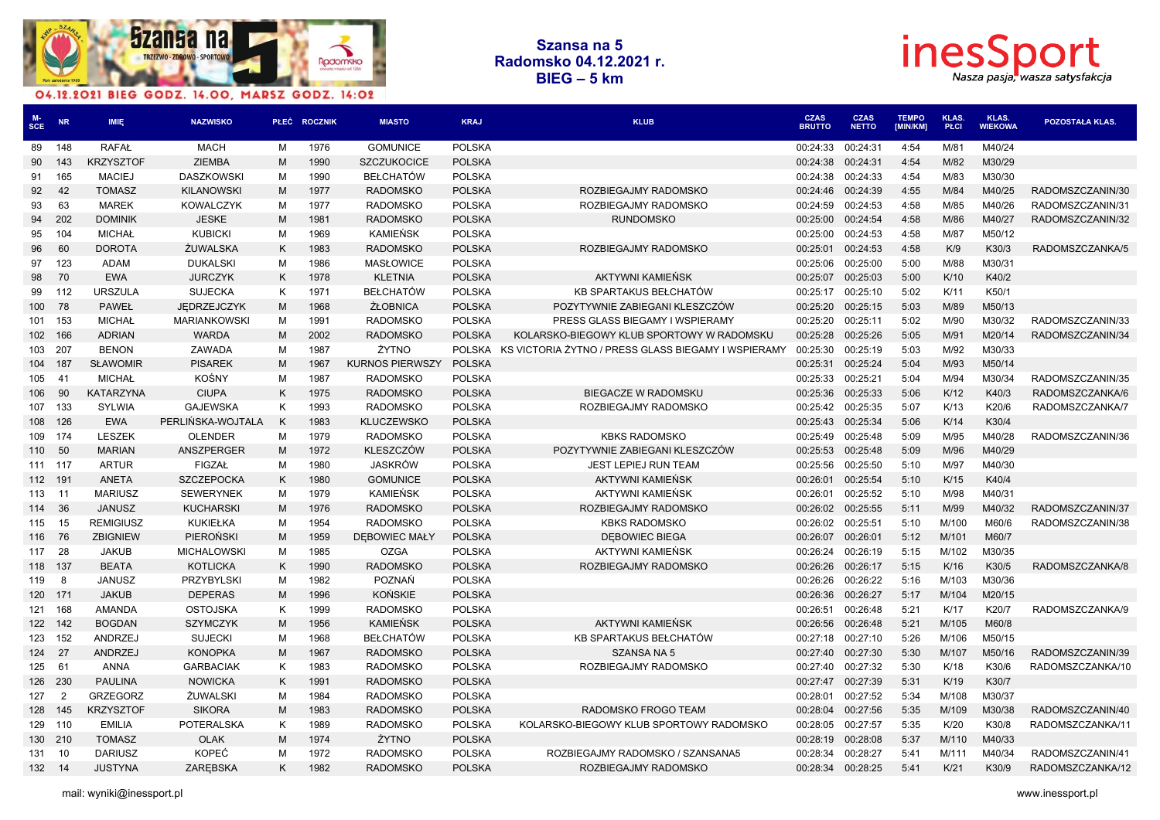



| <b>SCE</b>       | <b>NR</b>      | <b>IMIE</b>      | <b>NAZWISKO</b>     | PŁEĆ | <b>ROCZNIK</b> | <b>MIASTO</b>          | <b>KRAJ</b>   | <b>KLUB</b>                                         | <b>CZAS</b><br><b>BRUTTO</b> | <b>CZAS</b><br><b>NETTO</b> | <b>TEMPO</b><br>[MIN/KM] | <b>KLAS</b><br><b>PŁCI</b> | <b>KLAS.</b><br><b>WIEKOWA</b> | POZOSTAŁA KLAS.  |
|------------------|----------------|------------------|---------------------|------|----------------|------------------------|---------------|-----------------------------------------------------|------------------------------|-----------------------------|--------------------------|----------------------------|--------------------------------|------------------|
| 89               | 148            | <b>RAFAŁ</b>     | <b>MACH</b>         | M    | 1976           | <b>GOMUNICE</b>        | <b>POLSKA</b> |                                                     | 00:24:33                     | 00:24:31                    | 4:54                     | M/81                       | M40/24                         |                  |
| 90               | 143            | <b>KRZYSZTOF</b> | <b>ZIEMBA</b>       | M    | 1990           | <b>SZCZUKOCICE</b>     | <b>POLSKA</b> |                                                     | 00:24:38                     | 00:24:31                    | 4:54                     | M/82                       | M30/29                         |                  |
| 91               | 165            | <b>MACIEJ</b>    | <b>DASZKOWSKI</b>   | м    | 1990           | <b>BEŁCHATÓW</b>       | <b>POLSKA</b> |                                                     | 00:24:38                     | 00:24:33                    | 4:54                     | M/83                       | M30/30                         |                  |
| 92               | 42             | <b>TOMASZ</b>    | <b>KILANOWSKI</b>   | M    | 1977           | <b>RADOMSKO</b>        | <b>POLSKA</b> | ROZBIEGAJMY RADOMSKO                                | 00:24:46                     | 00:24:39                    | 4:55                     | M/84                       | M40/25                         | RADOMSZCZANIN/30 |
| 93               | 63             | <b>MAREK</b>     | <b>KOWALCZYK</b>    | M    | 1977           | <b>RADOMSKO</b>        | <b>POLSKA</b> | ROZBIEGAJMY RADOMSKO                                | 00:24:59                     | 00:24:53                    | 4:58                     | M/85                       | M40/26                         | RADOMSZCZANIN/31 |
| 94               | 202            | <b>DOMINIK</b>   | <b>JESKE</b>        | M    | 1981           | <b>RADOMSKO</b>        | <b>POLSKA</b> | <b>RUNDOMSKO</b>                                    | 00:25:00                     | 00:24:54                    | 4:58                     | M/86                       | M40/27                         | RADOMSZCZANIN/32 |
| 95               | 104            | <b>MICHAŁ</b>    | <b>KUBICKI</b>      | M    | 1969           | KAMIEŃSK               | <b>POLSKA</b> |                                                     | 00:25:00                     | 00:24:53                    | 4:58                     | M/87                       | M50/12                         |                  |
| 96               | 60             | <b>DOROTA</b>    | ŻUWALSKA            | Κ    | 1983           | <b>RADOMSKO</b>        | <b>POLSKA</b> | ROZBIEGAJMY RADOMSKO                                | 00:25:01                     | 00:24:53                    | 4:58                     | K/9                        | K30/3                          | RADOMSZCZANKA/5  |
| 97               | 123            | <b>ADAM</b>      | <b>DUKALSKI</b>     | м    | 1986           | <b>MASŁOWICE</b>       | <b>POLSKA</b> |                                                     | 00:25:06                     | 00:25:00                    | 5:00                     | M/88                       | M30/31                         |                  |
| 98               | 70             | <b>EWA</b>       | <b>JURCZYK</b>      | Κ    | 1978           | <b>KLETNIA</b>         | <b>POLSKA</b> | AKTYWNI KAMIEŃSK                                    | 00:25:07                     | 00:25:03                    | 5:00                     | K/10                       | K40/2                          |                  |
| 99               | 112            | <b>URSZULA</b>   | <b>SUJECKA</b>      | K    | 1971           | <b>BEŁCHATÓW</b>       | <b>POLSKA</b> | KB SPARTAKUS BEŁCHATÓW                              | 00:25:17                     | 00:25:10                    | 5:02                     | K/11                       | K50/1                          |                  |
| 100 <sub>1</sub> | 78             | <b>PAWEŁ</b>     | JEDRZEJCZYK         | M    | 1968           | ŻŁOBNICA               | <b>POLSKA</b> | POZYTYWNIE ZABIEGANI KLESZCZÓW                      | 00:25:20                     | 00:25:15                    | 5:03                     | M/89                       | M50/13                         |                  |
|                  | 101 153        | <b>MICHAŁ</b>    | <b>MARIANKOWSKI</b> | M    | 1991           | <b>RADOMSKO</b>        | <b>POLSKA</b> | PRESS GLASS BIEGAMY I WSPIERAMY                     | 00:25:20                     | 00:25:11                    | 5:02                     | M/90                       | M30/32                         | RADOMSZCZANIN/33 |
| 102              | 166            | <b>ADRIAN</b>    | <b>WARDA</b>        | M    | 2002           | <b>RADOMSKO</b>        | <b>POLSKA</b> | KOLARSKO-BIEGOWY KLUB SPORTOWY W RADOMSKU           | 00:25:28                     | 00:25:26                    | 5:05                     | M/91                       | M20/14                         | RADOMSZCZANIN/34 |
| 103              | 207            | <b>BENON</b>     | ZAWADA              | M    | 1987           | ŻYTNO                  | <b>POLSKA</b> | KS VICTORIA ŻYTNO / PRESS GLASS BIEGAMY I WSPIERAMY | 00:25:30                     | 00:25:19                    | 5:03                     | M/92                       | M30/33                         |                  |
| 104              | 187            | <b>SŁAWOMIR</b>  | <b>PISAREK</b>      | M    | 1967           | <b>KURNOS PIERWSZY</b> | <b>POLSKA</b> |                                                     | 00:25:31                     | 00:25:24                    | 5:04                     | M/93                       | M50/14                         |                  |
| 105              | 41             | <b>MICHAŁ</b>    | KOŚNY               | M    | 1987           | <b>RADOMSKO</b>        | <b>POLSKA</b> |                                                     | 00:25:33                     | 00:25:21                    | 5:04                     | M/94                       | M30/34                         | RADOMSZCZANIN/35 |
| 106              | 90             | <b>KATARZYNA</b> | <b>CIUPA</b>        | K    | 1975           | <b>RADOMSKO</b>        | <b>POLSKA</b> | BIEGACZE W RADOMSKU                                 | 00:25:36                     | 00:25:33                    | 5:06                     | K/12                       | K40/3                          | RADOMSZCZANKA/6  |
| 107              | 133            | SYLWIA           | <b>GAJEWSKA</b>     | K    | 1993           | <b>RADOMSKO</b>        | <b>POLSKA</b> | ROZBIEGAJMY RADOMSKO                                | 00:25:42                     | 00:25:35                    | 5:07                     | K/13                       | K20/6                          | RADOMSZCZANKA/7  |
|                  | 108 126        | <b>EWA</b>       | PERLIŃSKA-WOJTALA   | K    | 1983           | <b>KLUCZEWSKO</b>      | <b>POLSKA</b> |                                                     | 00:25:43                     | 00:25:34                    | 5:06                     | K/14                       | K30/4                          |                  |
| 109              | - 174          | <b>LESZEK</b>    | <b>OLENDER</b>      | M    | 1979           | <b>RADOMSKO</b>        | <b>POLSKA</b> | <b>KBKS RADOMSKO</b>                                | 00:25:49                     | 00:25:48                    | 5:09                     | M/95                       | M40/28                         | RADOMSZCZANIN/36 |
| 110              | 50             | <b>MARIAN</b>    | ANSZPERGER          | M    | 1972           | <b>KLESZCZÓW</b>       | <b>POLSKA</b> | POZYTYWNIE ZABIEGANI KLESZCZÓW                      | 00:25:53                     | 00:25:48                    | 5:09                     | M/96                       | M40/29                         |                  |
| 111 117          |                | <b>ARTUR</b>     | <b>FIGZAŁ</b>       | M    | 1980           | <b>JASKRÓW</b>         | <b>POLSKA</b> | <b>JEST LEPIEJ RUN TEAM</b>                         | 00:25:56                     | 00:25:50                    | 5:10                     | M/97                       | M40/30                         |                  |
| 112 191          |                | <b>ANETA</b>     | <b>SZCZEPOCKA</b>   | K    | 1980           | <b>GOMUNICE</b>        | <b>POLSKA</b> | AKTYWNI KAMIEŃSK                                    | 00:26:01                     | 00:25:54                    | 5:10                     | K/15                       | K40/4                          |                  |
| 113              | 11             | <b>MARIUSZ</b>   | <b>SEWERYNEK</b>    | м    | 1979           | <b>KAMIEŃSK</b>        | <b>POLSKA</b> | AKTYWNI KAMIEŃSK                                    | 00:26:01                     | 00:25:52                    | 5:10                     | M/98                       | M40/31                         |                  |
| 114              | 36             | <b>JANUSZ</b>    | <b>KUCHARSKI</b>    | M    | 1976           | <b>RADOMSKO</b>        | <b>POLSKA</b> | ROZBIEGAJMY RADOMSKO                                | 00:26:02                     | 00:25:55                    | 5:11                     | M/99                       | M40/32                         | RADOMSZCZANIN/37 |
| 115              | 15             | <b>REMIGIUSZ</b> | KUKIEŁKA            | м    | 1954           | <b>RADOMSKO</b>        | <b>POLSKA</b> | <b>KBKS RADOMSKO</b>                                | 00:26:02                     | 00:25:51                    | 5:10                     | M/100                      | M60/6                          | RADOMSZCZANIN/38 |
| 116              | 76             | <b>ZBIGNIEW</b>  | <b>PIEROŃSKI</b>    | M    | 1959           | <b>DEBOWIEC MAŁY</b>   | <b>POLSKA</b> | <b>DEBOWIEC BIEGA</b>                               | 00:26:07                     | 00:26:01                    | 5:12                     | M/101                      | M60/7                          |                  |
| 117 28           |                | <b>JAKUB</b>     | <b>MICHALOWSKI</b>  | M    | 1985           | <b>OZGA</b>            | <b>POLSKA</b> | AKTYWNI KAMIEŃSK                                    | 00:26:24                     | 00:26:19                    | 5:15                     | M/102                      | M30/35                         |                  |
| 118 137          |                | <b>BEATA</b>     | <b>KOTLICKA</b>     | K    | 1990           | <b>RADOMSKO</b>        | <b>POLSKA</b> | ROZBIEGAJMY RADOMSKO                                | 00:26:26                     | 00:26:17                    | 5:15                     | K/16                       | K30/5                          | RADOMSZCZANKA/8  |
| 119              | 8              | <b>JANUSZ</b>    | PRZYBYLSKI          | м    | 1982           | <b>POZNAŃ</b>          | <b>POLSKA</b> |                                                     | 00:26:26                     | 00:26:22                    | 5:16                     | M/103                      | M30/36                         |                  |
| 120 171          |                | <b>JAKUB</b>     | <b>DEPERAS</b>      | M    | 1996           | <b>KOŃSKIE</b>         | <b>POLSKA</b> |                                                     | 00:26:36                     | 00:26:27                    | 5:17                     | M/104                      | M20/15                         |                  |
| 121              | 168            | <b>AMANDA</b>    | <b>OSTOJSKA</b>     | Κ    | 1999           | <b>RADOMSKO</b>        | <b>POLSKA</b> |                                                     | 00:26:51                     | 00:26:48                    | 5:21                     | K/17                       | K20/7                          | RADOMSZCZANKA/9  |
|                  | 122 142        | <b>BOGDAN</b>    | <b>SZYMCZYK</b>     | M    | 1956           | <b>KAMIEŃSK</b>        | <b>POLSKA</b> | AKTYWNI KAMIEŃSK                                    | 00:26:56                     | 00:26:48                    | 5:21                     | M/105                      | M60/8                          |                  |
| 123              | 152            | ANDRZEJ          | <b>SUJECKI</b>      | M    | 1968           | <b>BEŁCHATÓW</b>       | <b>POLSKA</b> | KB SPARTAKUS BEŁCHATÓW                              | 00:27:18                     | 00:27:10                    | 5:26                     | M/106                      | M50/15                         |                  |
| 124              | 27             | <b>ANDRZEJ</b>   | <b>KONOPKA</b>      | M    | 1967           | <b>RADOMSKO</b>        | <b>POLSKA</b> | <b>SZANSA NA 5</b>                                  | 00:27:40                     | 00:27:30                    | 5:30                     | M/107                      | M50/16                         | RADOMSZCZANIN/39 |
| 125              | 61             | ANNA             | <b>GARBACIAK</b>    | Κ    | 1983           | <b>RADOMSKO</b>        | <b>POLSKA</b> | ROZBIEGAJMY RADOMSKO                                | 00:27:40                     | 00:27:32                    | 5:30                     | K/18                       | K30/6                          | RADOMSZCZANKA/10 |
| 126              | 230            | <b>PAULINA</b>   | <b>NOWICKA</b>      | K    | 1991           | <b>RADOMSKO</b>        | <b>POLSKA</b> |                                                     | 00:27:47                     | 00:27:39                    | 5:31                     | K/19                       | K30/7                          |                  |
| 127              | $\overline{2}$ | <b>GRZEGORZ</b>  | ŻUWALSKI            | м    | 1984           | <b>RADOMSKO</b>        | <b>POLSKA</b> |                                                     | 00:28:01                     | 00:27:52                    | 5:34                     | M/108                      | M30/37                         |                  |
| 128              | 145            | <b>KRZYSZTOF</b> | <b>SIKORA</b>       | M    | 1983           | <b>RADOMSKO</b>        | <b>POLSKA</b> | RADOMSKO FROGO TEAM                                 | 00:28:04                     | 00:27:56                    | 5:35                     | M/109                      | M30/38                         | RADOMSZCZANIN/40 |
|                  | 129 110        | <b>EMILIA</b>    | <b>POTERALSKA</b>   | K    | 1989           | <b>RADOMSKO</b>        | <b>POLSKA</b> | KOLARSKO-BIEGOWY KLUB SPORTOWY RADOMSKO             | 00:28:05                     | 00:27:57                    | 5:35                     | K/20                       | K30/8                          | RADOMSZCZANKA/11 |
|                  | 130 210        | <b>TOMASZ</b>    | <b>OLAK</b>         | M    | 1974           | ŻYTNO                  | <b>POLSKA</b> |                                                     | 00:28:19                     | 00:28:08                    | 5:37                     | M/110                      | M40/33                         |                  |
| 131              | -10            | <b>DARIUSZ</b>   | KOPEĆ               | M    | 1972           | <b>RADOMSKO</b>        | <b>POLSKA</b> | ROZBIEGAJMY RADOMSKO / SZANSANA5                    | 00:28:34                     | 00:28:27                    | 5:41                     | M/111                      | M40/34                         | RADOMSZCZANIN/41 |
| 132 14           |                | <b>JUSTYNA</b>   | ZAREBSKA            | K    | 1982           | <b>RADOMSKO</b>        | <b>POLSKA</b> | ROZBIEGAJMY RADOMSKO                                | 00:28:34                     | 00:28:25                    | 5:41                     | K/21                       | K30/9                          | RADOMSZCZANKA/12 |
|                  |                |                  |                     |      |                |                        |               |                                                     |                              |                             |                          |                            |                                |                  |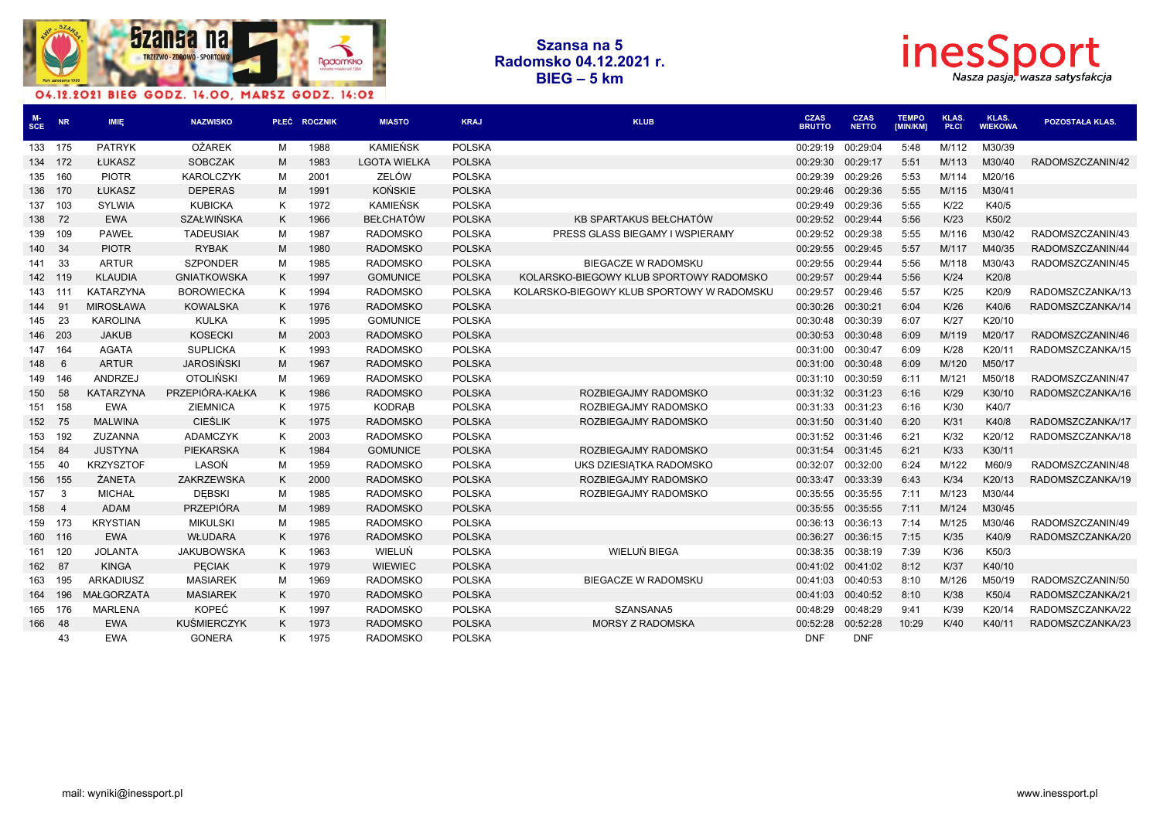



| $_{\rm SCE}^{\rm M-}$ | <b>NR</b>      | IMIE,            | <b>NAZWISKO</b>    |   | PLEĆ ROCZNIK | <b>MIASTO</b>       | <b>KRAJ</b>   | <b>KLUB</b>                               | <b>CZAS</b><br><b>BRUTTO</b> | <b>CZAS</b><br><b>NETTO</b> | <b>TEMPO</b><br>[MIN/KM] | <b>KLAS.</b><br><b>PŁCI</b> | KLAS.<br><b>WIEKOWA</b> | POZOSTAŁA KLAS.  |
|-----------------------|----------------|------------------|--------------------|---|--------------|---------------------|---------------|-------------------------------------------|------------------------------|-----------------------------|--------------------------|-----------------------------|-------------------------|------------------|
| 133 175               |                | <b>PATRYK</b>    | <b>OŻAREK</b>      | M | 1988         | <b>KAMIEŃSK</b>     | <b>POLSKA</b> |                                           | 00:29:19                     | 00:29:04                    | 5:48                     | M/112                       | M30/39                  |                  |
| 134 172               |                | ŁUKASZ           | <b>SOBCZAK</b>     | M | 1983         | <b>LGOTA WIELKA</b> | <b>POLSKA</b> |                                           | 00:29:30                     | 00:29:17                    | 5:51                     | M/113                       | M30/40                  | RADOMSZCZANIN/42 |
| 135                   | 160            | <b>PIOTR</b>     | <b>KAROLCZYK</b>   | M | 2001         | ZELÓW               | <b>POLSKA</b> |                                           | 00:29:39                     | 00:29:26                    | 5:53                     | M/114                       | M20/16                  |                  |
| 136 170               |                | ŁUKASZ           | <b>DEPERAS</b>     | M | 1991         | <b>KOŃSKIE</b>      | <b>POLSKA</b> |                                           | 00:29:46                     | 00:29:36                    | 5:55                     | M/115                       | M30/41                  |                  |
| 137                   | 103            | SYLWIA           | <b>KUBICKA</b>     | K | 1972         | <b>KAMIEŃSK</b>     | <b>POLSKA</b> |                                           | 00:29:49                     | 00:29:36                    | 5:55                     | K/22                        | K40/5                   |                  |
| 138 72                |                | <b>EWA</b>       | <b>SZAŁWIŃSKA</b>  | K | 1966         | <b>BEŁCHATÓW</b>    | <b>POLSKA</b> | KB SPARTAKUS BEŁCHATÓW                    | 00:29:52                     | 00:29:44                    | 5:56                     | K/23                        | K50/2                   |                  |
| 139                   | 109            | <b>PAWEŁ</b>     | <b>TADEUSIAK</b>   | M | 1987         | <b>RADOMSKO</b>     | <b>POLSKA</b> | PRESS GLASS BIEGAMY I WSPIERAMY           | 00:29:52                     | 00:29:38                    | 5:55                     | M/116                       | M30/42                  | RADOMSZCZANIN/43 |
| 140                   | - 34           | <b>PIOTR</b>     | <b>RYBAK</b>       | M | 1980         | <b>RADOMSKO</b>     | <b>POLSKA</b> |                                           | 00:29:55                     | 00:29:45                    | 5:57                     | M/117                       | M40/35                  | RADOMSZCZANIN/44 |
| 141                   | -33            | <b>ARTUR</b>     | <b>SZPONDER</b>    | м | 1985         | <b>RADOMSKO</b>     | <b>POLSKA</b> | <b>BIEGACZE W RADOMSKU</b>                | 00:29:55                     | 00:29:44                    | 5:56                     | M/118                       | M30/43                  | RADOMSZCZANIN/45 |
| 142 119               |                | <b>KLAUDIA</b>   | <b>GNIATKOWSKA</b> | K | 1997         | <b>GOMUNICE</b>     | <b>POLSKA</b> | KOLARSKO-BIEGOWY KLUB SPORTOWY RADOMSKO   | 00:29:57                     | 00:29:44                    | 5:56                     | K/24                        | K20/8                   |                  |
| 143 111               |                | <b>KATARZYNA</b> | <b>BOROWIECKA</b>  | K | 1994         | <b>RADOMSKO</b>     | <b>POLSKA</b> | KOLARSKO-BIEGOWY KLUB SPORTOWY W RADOMSKU | 00:29:57                     | 00:29:46                    | 5:57                     | K/25                        | K20/9                   | RADOMSZCZANKA/13 |
| 144                   | 91             | <b>MIROSŁAWA</b> | <b>KOWALSKA</b>    | K | 1976         | <b>RADOMSKO</b>     | <b>POLSKA</b> |                                           | 00:30:26                     | 00:30:21                    | 6:04                     | K/26                        | K40/6                   | RADOMSZCZANKA/14 |
| 145                   | 23             | <b>KAROLINA</b>  | <b>KULKA</b>       | Κ | 1995         | <b>GOMUNICE</b>     | <b>POLSKA</b> |                                           | 00:30:48                     | 00:30:39                    | 6:07                     | K/27                        | K20/10                  |                  |
| 146 203               |                | <b>JAKUB</b>     | <b>KOSECKI</b>     | M | 2003         | <b>RADOMSKO</b>     | <b>POLSKA</b> |                                           | 00:30:53                     | 00:30:48                    | 6:09                     | M/119                       | M20/17                  | RADOMSZCZANIN/46 |
| 147                   | 164            | <b>AGATA</b>     | <b>SUPLICKA</b>    | K | 1993         | <b>RADOMSKO</b>     | <b>POLSKA</b> |                                           | 00:31:00                     | 00:30:47                    | 6:09                     | K/28                        | K20/11                  | RADOMSZCZANKA/15 |
| 148                   | 6              | <b>ARTUR</b>     | <b>JAROSIŃSKI</b>  | M | 1967         | <b>RADOMSKO</b>     | <b>POLSKA</b> |                                           | 00:31:00                     | 00:30:48                    | 6:09                     | M/120                       | M50/17                  |                  |
| 149                   | 146            | ANDRZEJ          | <b>OTOLIŃSKI</b>   | M | 1969         | <b>RADOMSKO</b>     | <b>POLSKA</b> |                                           | 00:31:10                     | 00:30:59                    | 6:11                     | M/121                       | M50/18                  | RADOMSZCZANIN/47 |
| 150                   | 58             | <b>KATARZYNA</b> | PRZEPIÓRA-KAŁKA    | K | 1986         | <b>RADOMSKO</b>     | <b>POLSKA</b> | ROZBIEGAJMY RADOMSKO                      | 00:31:32                     | 00:31:23                    | 6:16                     | K/29                        | K30/10                  | RADOMSZCZANKA/16 |
| 151 158               |                | <b>EWA</b>       | <b>ZIEMNICA</b>    | K | 1975         | KODRAB              | <b>POLSKA</b> | ROZBIEGAJMY RADOMSKO                      | 00:31:33                     | 00:31:23                    | 6:16                     | K/30                        | K40/7                   |                  |
| 152 75                |                | <b>MALWINA</b>   | <b>CIEŚLIK</b>     | K | 1975         | <b>RADOMSKO</b>     | <b>POLSKA</b> | ROZBIEGAJMY RADOMSKO                      | 00:31:50                     | 00:31:40                    | 6:20                     | K/31                        | K40/8                   | RADOMSZCZANKA/17 |
| 153                   | 192            | ZUZANNA          | <b>ADAMCZYK</b>    | K | 2003         | <b>RADOMSKO</b>     | <b>POLSKA</b> |                                           | 00:31:52                     | 00:31:46                    | 6:21                     | K/32                        | K20/12                  | RADOMSZCZANKA/18 |
| 154                   | 84             | <b>JUSTYNA</b>   | PIEKARSKA          | K | 1984         | <b>GOMUNICE</b>     | <b>POLSKA</b> | ROZBIEGAJMY RADOMSKO                      | 00:31:54                     | 00:31:45                    | 6:21                     | K/33                        | K30/11                  |                  |
| 155                   | 40             | <b>KRZYSZTOF</b> | LASOŃ              | M | 1959         | <b>RADOMSKO</b>     | <b>POLSKA</b> | UKS DZIESIĄTKA RADOMSKO                   | 00:32:07                     | 00:32:00                    | 6:24                     | M/122                       | M60/9                   | RADOMSZCZANIN/48 |
| 156 155               |                | ŻANETA           | ZAKRZEWSKA         | K | 2000         | <b>RADOMSKO</b>     | <b>POLSKA</b> | ROZBIEGAJMY RADOMSKO                      | 00:33:47                     | 00:33:39                    | 6:43                     | K/34                        | K20/13                  | RADOMSZCZANKA/19 |
| 157                   | - 3            | <b>MICHAŁ</b>    | <b>DEBSKI</b>      | м | 1985         | <b>RADOMSKO</b>     | <b>POLSKA</b> | ROZBIEGAJMY RADOMSKO                      | 00:35:55                     | 00:35:55                    | 7:11                     | M/123                       | M30/44                  |                  |
| 158                   | $\overline{4}$ | <b>ADAM</b>      | <b>PRZEPIÓRA</b>   | M | 1989         | <b>RADOMSKO</b>     | <b>POLSKA</b> |                                           | 00:35:55                     | 00:35:55                    | 7:11                     | M/124                       | M30/45                  |                  |
| 159 173               |                | <b>KRYSTIAN</b>  | <b>MIKULSKI</b>    | M | 1985         | <b>RADOMSKO</b>     | <b>POLSKA</b> |                                           | 00:36:13                     | 00:36:13                    | 7:14                     | M/125                       | M30/46                  | RADOMSZCZANIN/49 |
| 160 116               |                | <b>EWA</b>       | WŁUDARA            | K | 1976         | <b>RADOMSKO</b>     | <b>POLSKA</b> |                                           | 00:36:27                     | 00:36:15                    | 7:15                     | K/35                        | K40/9                   | RADOMSZCZANKA/20 |
| 161                   | 120            | <b>JOLANTA</b>   | <b>JAKUBOWSKA</b>  | K | 1963         | WIELUŃ              | <b>POLSKA</b> | WIELUŃ BIEGA                              | 00:38:35                     | 00:38:19                    | 7:39                     | K/36                        | K50/3                   |                  |
| 162 87                |                | <b>KINGA</b>     | <b>PECIAK</b>      | K | 1979         | <b>WIEWIEC</b>      | <b>POLSKA</b> |                                           | 00:41:02                     | 00:41:02                    | 8:12                     | K/37                        | K40/10                  |                  |
| 163                   | 195            | <b>ARKADIUSZ</b> | <b>MASIAREK</b>    | м | 1969         | <b>RADOMSKO</b>     | <b>POLSKA</b> | BIEGACZE W RADOMSKU                       | 00:41:03                     | 00:40:53                    | 8:10                     | M/126                       | M50/19                  | RADOMSZCZANIN/50 |
| 164                   | 196            | MAŁGORZATA       | <b>MASIAREK</b>    | K | 1970         | <b>RADOMSKO</b>     | <b>POLSKA</b> |                                           | 00:41:03                     | 00:40:52                    | 8:10                     | K/38                        | K50/4                   | RADOMSZCZANKA/21 |
| 165                   | 176            | <b>MARLENA</b>   | <b>KOPEĆ</b>       | K | 1997         | <b>RADOMSKO</b>     | <b>POLSKA</b> | SZANSANA5                                 | 00:48:29                     | 00:48:29                    | 9:41                     | K/39                        | K20/14                  | RADOMSZCZANKA/22 |
| 166                   | - 48           | <b>EWA</b>       | <b>KUŚMIERCZYK</b> | K | 1973         | <b>RADOMSKO</b>     | <b>POLSKA</b> | <b>MORSY Z RADOMSKA</b>                   | 00:52:28                     | 00:52:28                    | 10:29                    | K/40                        | K40/11                  | RADOMSZCZANKA/23 |
|                       | 43             | <b>EWA</b>       | <b>GONERA</b>      | ĸ | 1975         | <b>RADOMSKO</b>     | <b>POLSKA</b> |                                           | <b>DNF</b>                   | <b>DNF</b>                  |                          |                             |                         |                  |